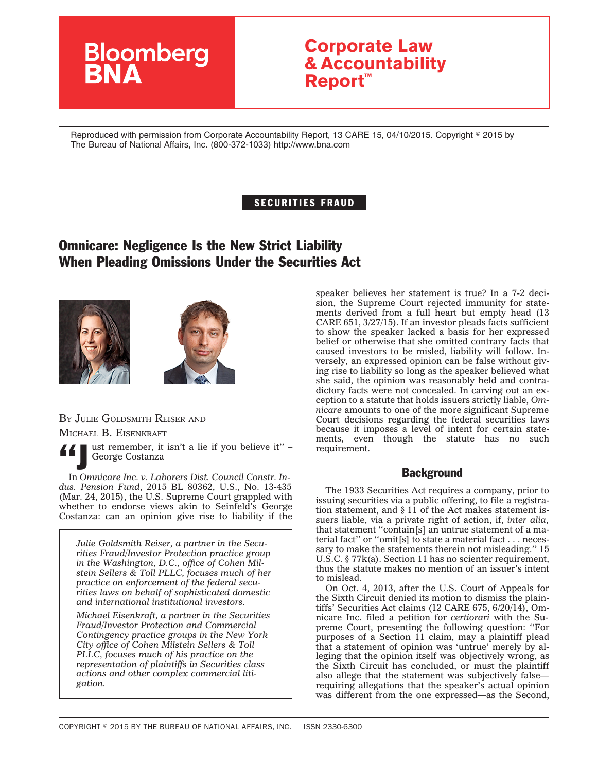# **Bloomberg**

# **Corporate Law & Accountability Report™**

Reproduced with permission from Corporate Accountability Report, 13 CARE 15, 04/10/2015. Copyright © 2015 by The Bureau of National Affairs, Inc. (800-372-1033) http://www.bna.com

## SECURITIES FRAUD

# Omnicare: Negligence Is the New Strict Liability When Pleading Omissions Under the Securities Act





BY JULIE GOLDSMITH REISER AND

MICHAEL B. EISENKRAFT



ust remember, it isn't a lie if you believe it" – George Costanza

In *Omnicare Inc. v. Laborers Dist. Council Constr. Indus. Pension Fund*, 2015 BL 80362, U.S., No. 13-435 (Mar. 24, 2015), the U.S. Supreme Court grappled with whether to endorse views akin to Seinfeld's George Costanza: can an opinion give rise to liability if the

*Julie Goldsmith Reiser, a partner in the Securities Fraud/Investor Protection practice group in the Washington, D.C., office of Cohen Milstein Sellers & Toll PLLC, focuses much of her practice on enforcement of the federal securities laws on behalf of sophisticated domestic and international institutional investors.*

*Michael Eisenkraft, a partner in the Securities Fraud/Investor Protection and Commercial Contingency practice groups in the New York City office of Cohen Milstein Sellers & Toll PLLC, focuses much of his practice on the representation of plaintiffs in Securities class actions and other complex commercial litigation.*

speaker believes her statement is true? In a 7-2 decision, the Supreme Court rejected immunity for statements derived from a full heart but empty head (13 CARE 651, 3/27/15). If an investor pleads facts sufficient to show the speaker lacked a basis for her expressed belief or otherwise that she omitted contrary facts that caused investors to be misled, liability will follow. Inversely, an expressed opinion can be false without giving rise to liability so long as the speaker believed what she said, the opinion was reasonably held and contradictory facts were not concealed. In carving out an exception to a statute that holds issuers strictly liable, *Omnicare* amounts to one of the more significant Supreme Court decisions regarding the federal securities laws because it imposes a level of intent for certain statements, even though the statute has no such requirement.

# **Background**

The 1933 Securities Act requires a company, prior to issuing securities via a public offering, to file a registration statement, and § 11 of the Act makes statement issuers liable, via a private right of action, if, *inter alia*, that statement ''contain[s] an untrue statement of a material fact'' or ''omit[s] to state a material fact . . . necessary to make the statements therein not misleading.'' 15 U.S.C. § 77k(a). Section 11 has no scienter requirement, thus the statute makes no mention of an issuer's intent to mislead.

On Oct. 4, 2013, after the U.S. Court of Appeals for the Sixth Circuit denied its motion to dismiss the plaintiffs' Securities Act claims (12 CARE 675, 6/20/14), Omnicare Inc. filed a petition for *certiorari* with the Supreme Court, presenting the following question: ''For purposes of a Section 11 claim, may a plaintiff plead that a statement of opinion was 'untrue' merely by alleging that the opinion itself was objectively wrong, as the Sixth Circuit has concluded, or must the plaintiff also allege that the statement was subjectively false requiring allegations that the speaker's actual opinion was different from the one expressed—as the Second,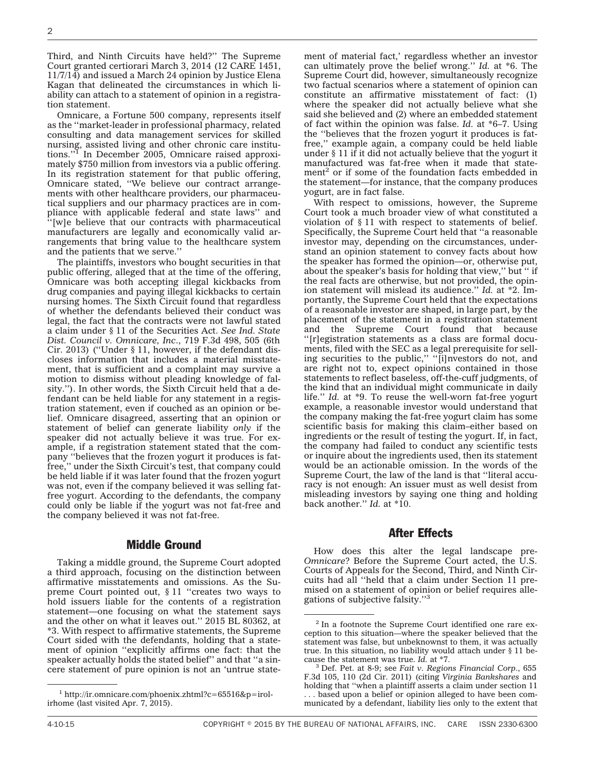Third, and Ninth Circuits have held?'' The Supreme Court granted certiorari March 3, 2014 (12 CARE 1451, 11/7/14) and issued a March 24 opinion by Justice Elena Kagan that delineated the circumstances in which liability can attach to a statement of opinion in a registration statement.

Omnicare, a Fortune 500 company, represents itself as the ''market-leader in professional pharmacy, related consulting and data management services for skilled nursing, assisted living and other chronic care institutions.''1 In December 2005, Omnicare raised approximately \$750 million from investors via a public offering. In its registration statement for that public offering, Omnicare stated, ''We believe our contract arrangements with other healthcare providers, our pharmaceutical suppliers and our pharmacy practices are in compliance with applicable federal and state laws'' and ''[w]e believe that our contracts with pharmaceutical manufacturers are legally and economically valid arrangements that bring value to the healthcare system and the patients that we serve.''

The plaintiffs, investors who bought securities in that public offering, alleged that at the time of the offering, Omnicare was both accepting illegal kickbacks from drug companies and paying illegal kickbacks to certain nursing homes. The Sixth Circuit found that regardless of whether the defendants believed their conduct was legal, the fact that the contracts were not lawful stated a claim under § 11 of the Securities Act. *See Ind. State Dist. Council v. Omnicare, Inc*., 719 F.3d 498, 505 (6th Cir. 2013) (''Under § 11, however, if the defendant discloses information that includes a material misstatement, that is sufficient and a complaint may survive a motion to dismiss without pleading knowledge of falsity.''). In other words, the Sixth Circuit held that a defendant can be held liable for any statement in a registration statement, even if couched as an opinion or belief. Omnicare disagreed, asserting that an opinion or statement of belief can generate liability *only* if the speaker did not actually believe it was true. For example, if a registration statement stated that the company ''believes that the frozen yogurt it produces is fatfree,'' under the Sixth Circuit's test, that company could be held liable if it was later found that the frozen yogurt was not, even if the company believed it was selling fatfree yogurt. According to the defendants, the company could only be liable if the yogurt was not fat-free and the company believed it was not fat-free.

#### Middle Ground

Taking a middle ground, the Supreme Court adopted a third approach, focusing on the distinction between affirmative misstatements and omissions. As the Supreme Court pointed out, § 11 ''creates two ways to hold issuers liable for the contents of a registration statement—one focusing on what the statement says and the other on what it leaves out.'' 2015 BL 80362, at \*3. With respect to affirmative statements, the Supreme Court sided with the defendants, holding that a statement of opinion ''explicitly affirms one fact: that the speaker actually holds the stated belief'' and that ''a sincere statement of pure opinion is not an 'untrue statement of material fact,' regardless whether an investor can ultimately prove the belief wrong.'' *Id.* at \*6. The Supreme Court did, however, simultaneously recognize two factual scenarios where a statement of opinion can constitute an affirmative misstatement of fact: (1) where the speaker did not actually believe what she said she believed and (2) where an embedded statement of fact within the opinion was false. *Id.* at \*6–7. Using the ''believes that the frozen yogurt it produces is fatfree,'' example again, a company could be held liable under § 11 if it did not actually believe that the yogurt it manufactured was fat-free when it made that statement<sup>2</sup> or if some of the foundation facts embedded in the statement—for instance, that the company produces yogurt, are in fact false.

With respect to omissions, however, the Supreme Court took a much broader view of what constituted a violation of § 11 with respect to statements of belief. Specifically, the Supreme Court held that ''a reasonable investor may, depending on the circumstances, understand an opinion statement to convey facts about how the speaker has formed the opinion—or, otherwise put, about the speaker's basis for holding that view,'' but '' if the real facts are otherwise, but not provided, the opinion statement will mislead its audience.'' *Id.* at \*2. Importantly, the Supreme Court held that the expectations of a reasonable investor are shaped, in large part, by the placement of the statement in a registration statement and the Supreme Court found that because ''[r]egistration statements as a class are formal documents, filed with the SEC as a legal prerequisite for selling securities to the public,'' ''[i]nvestors do not, and are right not to, expect opinions contained in those statements to reflect baseless, off-the-cuff judgments, of the kind that an individual might communicate in daily life.'' *Id.* at \*9. To reuse the well-worn fat-free yogurt example, a reasonable investor would understand that the company making the fat-free yogurt claim has some scientific basis for making this claim–either based on ingredients or the result of testing the yogurt. If, in fact, the company had failed to conduct any scientific tests or inquire about the ingredients used, then its statement would be an actionable omission. In the words of the Supreme Court, the law of the land is that ''literal accuracy is not enough: An issuer must as well desist from misleading investors by saying one thing and holding back another.'' *Id.* at \*10.

#### After Effects

How does this alter the legal landscape pre-*Omnicare*? Before the Supreme Court acted, the U.S. Courts of Appeals for the Second, Third, and Ninth Circuits had all ''held that a claim under Section 11 premised on a statement of opinion or belief requires allegations of subjective falsity.''3

<sup>1</sup> [http://ir.omnicare.com/phoenix.zhtml?c=65516&p=irol](http://ir.omnicare.com/phoenix.zhtml?c=65516&p=irol-irhome)[irhome](http://ir.omnicare.com/phoenix.zhtml?c=65516&p=irol-irhome) (last visited Apr. 7, 2015).

 $2$  In a footnote the Supreme Court identified one rare exception to this situation—where the speaker believed that the statement was false, but unbeknownst to them, it was actually true. In this situation, no liability would attach under  $\S$  11 be-cause the statement was true. *Id.* at \*7.

<sup>&</sup>lt;sup>3</sup> Def. Pet. at 8-9; see *Fait v. Regions Financial Corp.*, 655 F.3d 105, 110 (2d Cir. 2011) (citing *Virginia Bankshares* and holding that ''when a plaintiff asserts a claim under section 11 . . . based upon a belief or opinion alleged to have been communicated by a defendant, liability lies only to the extent that